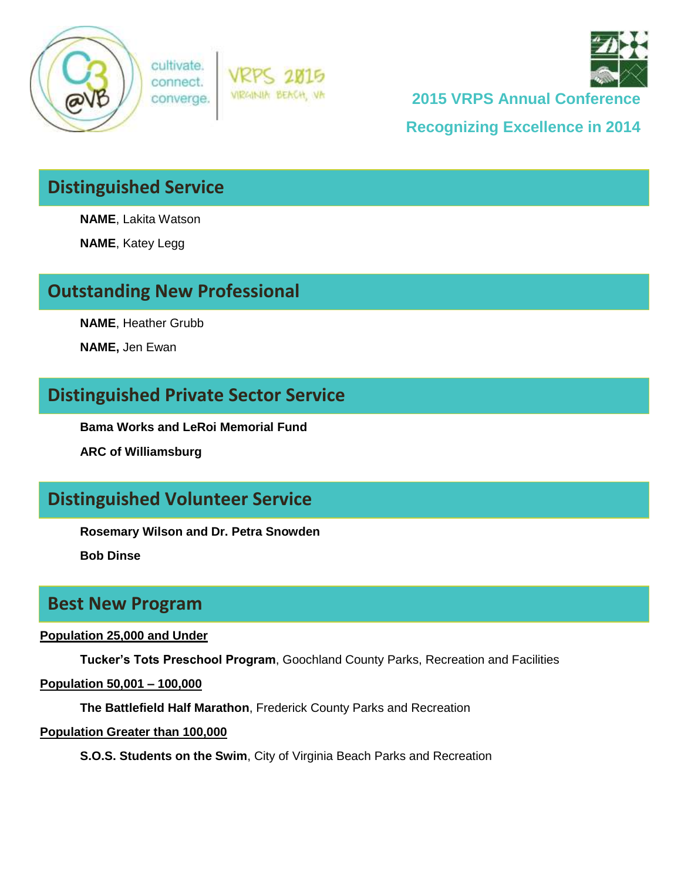





**2015 VRPS Annual Conference**

**Recognizing Excellence in 2014**

## **Distinguished Service**

**NAME**, Lakita Watson

**NAME**, Katey Legg

### **Outstanding New Professional**

**NAME**, Heather Grubb

**NAME,** Jen Ewan

### **Distinguished Private Sector Service**

**Bama Works and LeRoi Memorial Fund**

**ARC of Williamsburg**

### **Distinguished Volunteer Service**

**Rosemary Wilson and Dr. Petra Snowden**

**Bob Dinse**

### **Best New Program**

#### **Population 25,000 and Under**

**Tucker's Tots Preschool Program**, Goochland County Parks, Recreation and Facilities

#### **Population 50,001 – 100,000**

**The Battlefield Half Marathon**, Frederick County Parks and Recreation

#### **Population Greater than 100,000**

**S.O.S. Students on the Swim**, City of Virginia Beach Parks and Recreation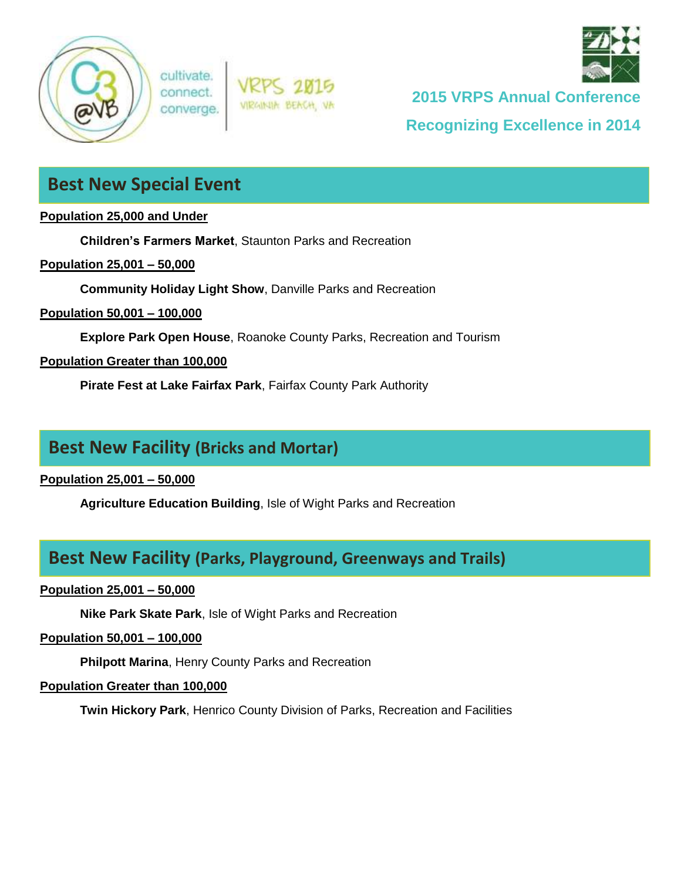

cultivate. connect. converge.



**2015 VRPS Annual Conference**

**Recognizing Excellence in 2014**

### **Best New Special Event**

#### **Population 25,000 and Under**

**Children's Farmers Market**, Staunton Parks and Recreation

#### **Population 25,001 – 50,000**

**Community Holiday Light Show**, Danville Parks and Recreation

**Population 50,001 – 100,000**

**Explore Park Open House**, Roanoke County Parks, Recreation and Tourism

VIRGINIA BEACH, VA

### **Population Greater than 100,000**

**Pirate Fest at Lake Fairfax Park**, Fairfax County Park Authority

### **Best New Facility (Bricks and Mortar)**

**Population 25,001 – 50,000**

**Agriculture Education Building**, Isle of Wight Parks and Recreation

### **Best New Facility (Parks, Playground, Greenways and Trails)**

### **Population 25,001 – 50,000**

**Nike Park Skate Park**, Isle of Wight Parks and Recreation

#### **Population 50,001 – 100,000**

**Philpott Marina**, Henry County Parks and Recreation

#### **Population Greater than 100,000**

**Twin Hickory Park**, Henrico County Division of Parks, Recreation and Facilities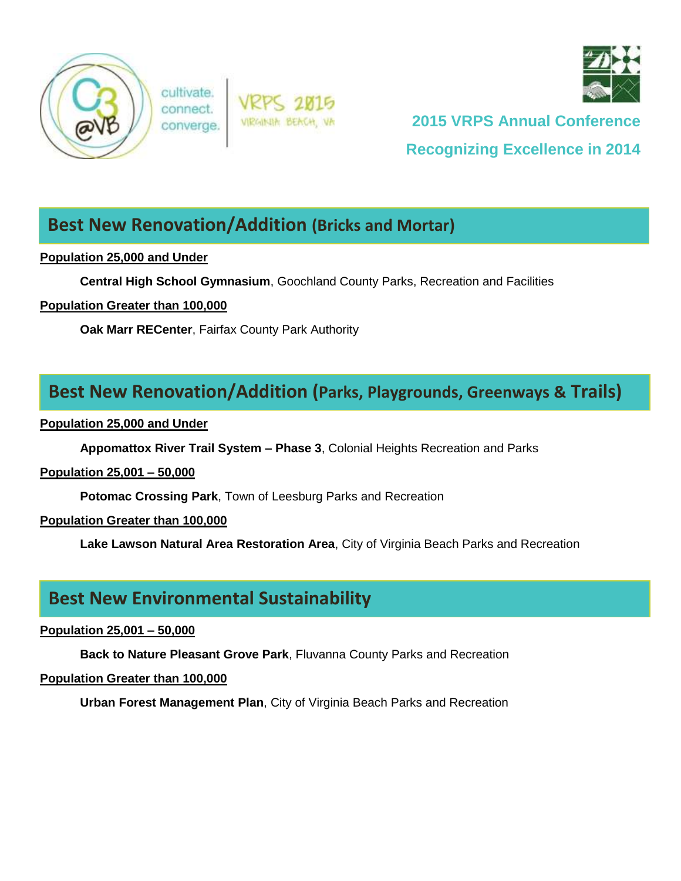

cultivate. connect converge





# **2015 VRPS Annual Conference Recognizing Excellence in 2014**

### **Best New Renovation/Addition (Bricks and Mortar)**

### **Population 25,000 and Under**

**Central High School Gymnasium**, Goochland County Parks, Recreation and Facilities

### **Population Greater than 100,000**

**Oak Marr RECenter**, Fairfax County Park Authority

### **Best New Renovation/Addition (Parks, Playgrounds, Greenways & Trails)**

#### **Population 25,000 and Under**

**Appomattox River Trail System – Phase 3**, Colonial Heights Recreation and Parks

### **Population 25,001 – 50,000**

**Potomac Crossing Park**, Town of Leesburg Parks and Recreation

### **Population Greater than 100,000**

**Lake Lawson Natural Area Restoration Area**, City of Virginia Beach Parks and Recreation

### **Best New Environmental Sustainability**

### **Population 25,001 – 50,000**

**Back to Nature Pleasant Grove Park**, Fluvanna County Parks and Recreation

### **Population Greater than 100,000**

**Urban Forest Management Plan**, City of Virginia Beach Parks and Recreation